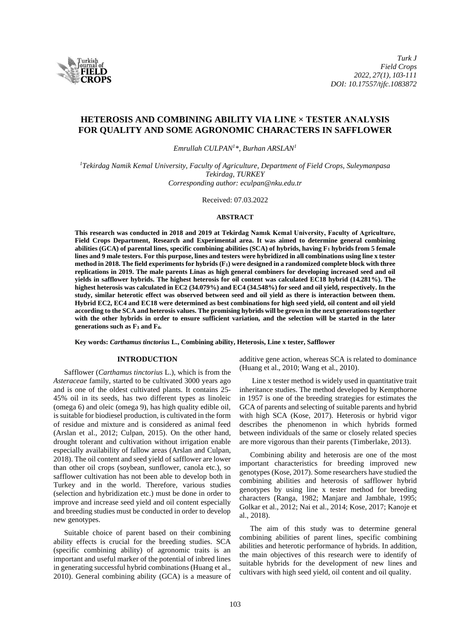

# **HETEROSIS AND COMBINING ABILITY VIA LINE × TESTER ANALYSIS FOR QUALITY AND SOME AGRONOMIC CHARACTERS IN SAFFLOWER**

*Emrullah CULPAN<sup>1</sup>\*, Burhan ARSLAN<sup>1</sup>*

*<sup>1</sup>Tekirdag Namik Kemal University, Faculty of Agriculture, Department of Field Crops, Suleymanpasa Tekirdag, TURKEY Corresponding author: eculpan@nku.edu.tr*

Received: 07.03.2022

#### **ABSTRACT**

**This research was conducted in 2018 and 2019 at Tekirdag Namık Kemal University, Faculty of Agriculture, Field Crops Department, Research and Experimental area. It was aimed to determine general combining abilities (GCA) of parental lines, specific combining abilities (SCA) of hybrids, having F<sup>1</sup> hybrids from 5 female lines and 9 male testers. For this purpose, lines and testers were hybridized in all combinations using line x tester method in 2018. The field experiments for hybrids (F1) were designed in a randomized complete block with three replications in 2019. The male parents Linas as high general combiners for developing increased seed and oil yields in safflower hybrids. The highest heterosis for oil content was calculated EC18 hybrid (14.281%). The highest heterosis was calculated in EC2 (34.079%) and EC4 (34.548%) for seed and oil yield, respectively. In the study, similar heterotic effect was observed between seed and oil yield as there is interaction between them. Hybrid EC2, EC4 and EC18 were determined as best combinations for high seed yield, oil content and oil yield according to the SCA and heterosis values. The promising hybrids will be grown in the next generations together with the other hybrids in order to ensure sufficient variation, and the selection will be started in the later generations such as F<sup>3</sup> and F4.**

**Key words:** *Carthamus tinctorius* **L., Combining ability, Heterosis, Line x tester, Safflower**

# **INTRODUCTION**

Safflower (*Carthamus tinctorius* L.), which is from the *Asteraceae* family, started to be cultivated 3000 years ago and is one of the oldest cultivated plants. It contains 25- 45% oil in its seeds, has two different types as linoleic (omega 6) and oleic (omega 9), has high quality edible oil, is suitable for biodiesel production, is cultivated in the form of residue and mixture and is considered as animal feed (Arslan et al., 2012; Culpan, 2015). On the other hand, drought tolerant and cultivation without irrigation enable especially availability of fallow areas (Arslan and Culpan, 2018). The oil content and seed yield of safflower are lower than other oil crops (soybean, sunflower, canola etc.), so safflower cultivation has not been able to develop both in Turkey and in the world. Therefore, various studies (selection and hybridization etc.) must be done in order to improve and increase seed yield and oil content especially and breeding studies must be conducted in order to develop new genotypes.

Suitable choice of parent based on their combining ability effects is crucial for the breeding studies. SCA (specific combining ability) of agronomic traits is an important and useful marker of the potential of inbred lines in generating successful hybrid combinations (Huang et al., 2010). General combining ability (GCA) is a measure of additive gene action, whereas SCA is related to dominance (Huang et al., 2010; Wang et al., 2010).

Line x tester method is widely used in quantitative trait inheritance studies. The method developed by Kempthorne in 1957 is one of the breeding strategies for estimates the GCA of parents and selecting of suitable parents and hybrid with high SCA (Kose, 2017). Heterosis or hybrid vigor describes the phenomenon in which hybrids formed between individuals of the same or closely related species are more vigorous than their parents (Timberlake, 2013).

Combining ability and heterosis are one of the most important characteristics for breeding improved new genotypes (Kose, 2017). Some researchers have studied the combining abilities and heterosis of safflower hybrid genotypes by using line x tester method for breeding characters (Ranga, 1982; Manjare and Jambhale, 1995; Golkar et al., 2012; Nai et al., 2014; Kose, 2017; Kanoje et al., 2018).

The aim of this study was to determine general combining abilities of parent lines, specific combining abilities and heterotic performance of hybrids. In addition, the main objectives of this research were to identify of suitable hybrids for the development of new lines and cultivars with high seed yield, oil content and oil quality.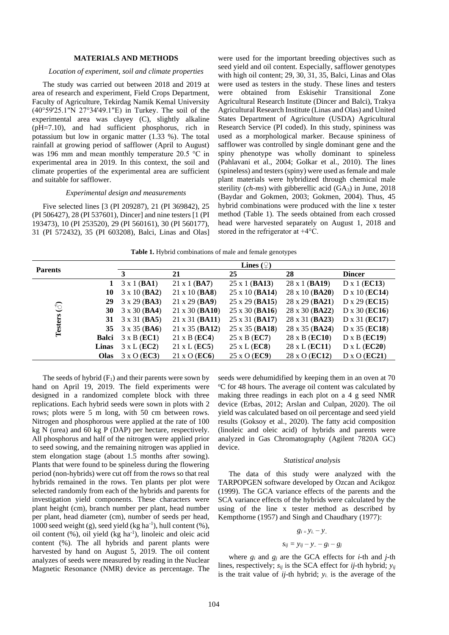# **MATERIALS AND METHODS**

#### *Location of experiment, soil and climate properties*

The study was carried out between 2018 and 2019 at area of research and experiment, Field Crops Department, Faculty of Agriculture, Tekirdag Namik Kemal University (40°59'25.1"N 27°34'49.1"E) in Turkey. The soil of the experimental area was clayey (C), slightly alkaline (pH=7.10), and had sufficient phosphorus, rich in potassium but low in organic matter (1.33 %). The total rainfall at growing period of safflower (April to August) was 196 mm and mean monthly temperature 20.5 °C in experimental area in 2019. In this context, the soil and climate properties of the experimental area are sufficient and suitable for safflower.

# *Experimental design and measurements*

Five selected lines [3 (PI 209287), 21 (PI 369842), 25 (PI 506427), 28 (PI 537601), Dincer] and nine testers [1 (PI 193473), 10 (PI 253520), 29 (PI 560161), 30 (PI 560177), 31 (PI 572432), 35 (PI 603208), Balci, Linas and Olas] were used for the important breeding objectives such as seed yield and oil content. Especially, safflower genotypes with high oil content; 29, 30, 31, 35, Balci, Linas and Olas were used as testers in the study. These lines and testers were obtained from Eskisehir Transitional Zone Agricultural Research Institute (Dincer and Balci), Trakya Agricultural Research Institute (Linas and Olas) and United States Department of Agriculture (USDA) Agricultural Research Service (PI coded). In this study, spininess was used as a morphological marker. Because spininess of safflower was controlled by single dominant gene and the spiny phenotype was wholly dominant to spineless (Pahlavani et al., 2004; Golkar et al., 2010). The lines (spineless) and testers(spiny) were used as female and male plant materials were hybridized through chemical male sterility  $(ch\text{-}ms)$  with gibberellic acid  $(GA_3)$  in June, 2018 (Baydar and Gokmen, 2003; Gokmen, 2004). Thus, 45 hybrid combinations were produced with the line x tester method (Table 1). The seeds obtained from each crossed head were harvested separately on August 1, 2018 and stored in the refrigerator at +4°C.

**Table 1.** Hybrid combinations of male and female genotypes

| <b>Parents</b> |       | <b>Lines</b> $(\varphi)$     |                       |                         |                         |                               |  |  |  |
|----------------|-------|------------------------------|-----------------------|-------------------------|-------------------------|-------------------------------|--|--|--|
|                |       | 3                            | 21                    | 25                      | 28                      | <b>Dincer</b>                 |  |  |  |
|                |       | $3 \times 1$ (BA1)           | $21 \times 1$ (BA7)   | $25 \times 1$ (BA13)    | $28 \times 1$ (BA19)    | $D \times 1$ (EC13)           |  |  |  |
|                | 10    | $3 \times 10$ (BA2)          | $21 \times 10$ (BA8)  | $25 \times 10$ (BA14)   | $28 \times 10$ (BA20)   | $D \times 10$ (EC14)          |  |  |  |
|                | 29    | $3 \times 29$ ( <b>BA3</b> ) | $21 \times 29$ (BA9)  | 25 x 29 ( <b>BA15</b> ) | 28 x 29 ( <b>BA21</b> ) | $D \times 29$ ( <b>EC15</b> ) |  |  |  |
| $\odot$        | 30    | $3 \times 30$ (BA4)          | $21 \times 30$ (BA10) | $25 \times 30$ (BA16)   | 28 x 30 ( <b>BA22</b> ) | D x $30$ (EC16)               |  |  |  |
|                |       | 31 $3 \times 31$ (BA5)       | $21 \times 31$ (BA11) | 25 x 31 ( <b>BA17</b> ) | 28 x 31 ( <b>BA23</b> ) | D x 31 ( <b>EC17</b> )        |  |  |  |
| <b>Testers</b> |       | 35 $3 \times 35$ (BA6)       | $21 \times 35$ (BA12) | 25 x 35 ( <b>BA18</b> ) | 28 x 35 ( <b>BA24</b> ) | D x 35 ( <b>EC18</b> )        |  |  |  |
|                | Balci | $3 \times B$ (EC1)           | $21 \times B$ (EC4)   | 25 x B ( <b>EC7</b> )   | 28 x B ( <b>EC10</b> )  | $D \times B$ (EC19)           |  |  |  |
|                | Linas | $3 \times L$ (EC2)           | $21 \times L$ (EC5)   | $25 \times L (EC8)$     | 28 x L ( <b>EC11</b> )  | $D \times L$ (EC20)           |  |  |  |
|                | Olas  | $3 \times O$ (EC3)           | $21 \times O$ (EC6)   | 25 x O ( <b>EC9</b> )   | 28 x O ( <b>EC12</b> )  | $D \times O$ ( <b>EC21</b> )  |  |  |  |

The seeds of hybrid  $(F_1)$  and their parents were sown by hand on April 19, 2019. The field experiments were designed in a randomized complete block with three replications. Each hybrid seeds were sown in plots with 2 rows; plots were 5 m long, with 50 cm between rows. Nitrogen and phosphorous were applied at the rate of 100 kg N (urea) and 60 kg P (DAP) per hectare, respectively. All phosphorus and half of the nitrogen were applied prior to seed sowing, and the remaining nitrogen was applied in stem elongation stage (about 1.5 months after sowing). Plants that were found to be spineless during the flowering period (non-hybrids) were cut off from the rows so that real hybrids remained in the rows. Ten plants per plot were selected randomly from each of the hybrids and parents for investigation yield components. These characters were plant height (cm), branch number per plant, head number per plant, head diameter (cm), number of seeds per head, 1000 seed weight (g), seed yield (kg ha<sup>-1</sup>), hull content (%), oil content (%), oil yield (kg ha<sup>-1</sup>), linoleic and oleic acid content (%). The all hybrids and parent plants were harvested by hand on August 5, 2019. The oil content analyzes of seeds were measured by reading in the Nuclear Magnetic Resonance (NMR) device as percentage. The

seeds were dehumidified by keeping them in an oven at 70 <sup>o</sup>C for 48 hours. The average oil content was calculated by making three readings in each plot on a 4 g seed NMR device (Erbas, 2012; Arslan and Culpan, 2020). The oil yield was calculated based on oil percentage and seed yield results (Goksoy et al., 2020). The fatty acid composition (linoleic and oleic acid) of hybrids and parents were analyzed in Gas Chromatography (Agilent 7820A GC) device.

#### *Statistical analysis*

The data of this study were analyzed with the TARPOPGEN software developed by Ozcan and Acikgoz (1999). The GCA variance effects of the parents and the SCA variance effects of the hybrids were calculated by the using of the line x tester method as described by Kempthorne (1957) and Singh and Chaudhary (1977):

$$
g_i = y_i. - y.
$$

$$
s_{ij} = y_{ij} - y_{..} - g_i - g_j
$$

where  $g_i$  and  $g_j$  are the GCA effects for *i*-th and *j*-th lines, respectively; *sij* is the SCA effect for *ij*-th hybrid; *yij* is the trait value of  $i\hat{j}$ -th hybrid;  $y_i$  is the average of the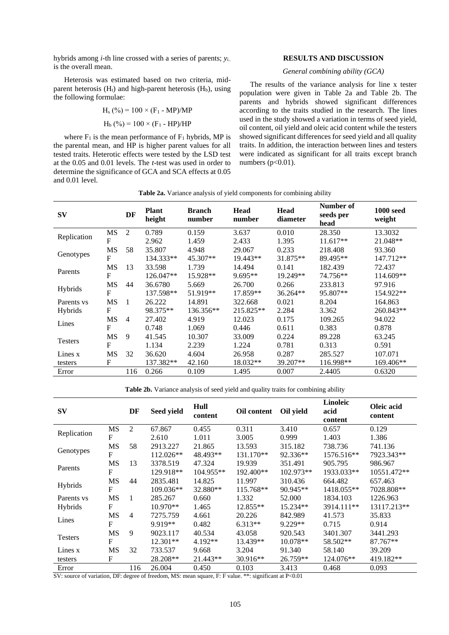hybrids among *i*-th line crossed with a series of parents; *yi..* is the overall mean.

Heterosis was estimated based on two criteria, midparent heterosis  $(H_t)$  and high-parent heterosis  $(H_b)$ , using the following formulae:

$$
H_s(^{96}) = 100 \times (F_1 - MP)/MP
$$
  
\n $H_b(^{96}) = 100 \times (F_1 - HP)/HP$ 

where  $F_1$  is the mean performance of  $F_1$  hybrids, MP is the parental mean, and HP is higher parent values for all tested traits. Heterotic effects were tested by the LSD test at the 0.05 and 0.01 levels. The *t*-test was used in order to determine the significance of GCA and SCA effects at 0.05 and 0.01 level.

## **RESULTS AND DISCUSSION**

# *General combining ability (GCA)*

The results of the variance analysis for line x tester population were given in Table 2a and Table 2b. The parents and hybrids showed significant differences according to the traits studied in the research. The lines used in the study showed a variation in terms of seed yield, oil content, oil yield and oleic acid content while the testers showed significant differences for seed yield and all quality traits. In addition, the interaction between lines and testers were indicated as significant for all traits except branch numbers  $(p<0.01)$ .

| $S_{\bf V}$    |                | DF             | <b>Plant</b><br>height | <b>Branch</b><br>number | <b>Head</b><br>number | Head<br>diameter | Number of<br>seeds per<br>head | <b>1000 seed</b><br>weight |
|----------------|----------------|----------------|------------------------|-------------------------|-----------------------|------------------|--------------------------------|----------------------------|
|                | MS             | 2              | 0.789                  | 0.159                   | 3.637                 | 0.010            | 28.350                         | 13.3032                    |
| Replication    | F              |                | 2.962                  | 1.459                   | 2.433                 | 1.395            | $11.617**$                     | 21.048**                   |
|                | MS             | 58             | 35.807                 | 4.948                   | 29.067                | 0.233            | 218.408                        | 93.360                     |
| Genotypes      | $\overline{F}$ |                | 134.333**              | 45.307**                | 19.443**              | 31.875**         | 89.495**                       | 147.712**                  |
|                | MS             | 13             | 33.598                 | 1.739                   | 14.494                | 0.141            | 182.439                        | 72.437                     |
| Parents        | $\mathbf{F}$   |                | $126.047**$            | 15.928**                | $9.695**$             | 19.249**         | 74.756**                       | $114.609**$                |
|                | MS             | 44             | 36.6780                | 5.669                   | 26.700                | 0.266            | 233.813                        | 97.916                     |
| Hybrids        | $\mathbf{F}$   |                | 137.598**              | 51.919**                | 17.859**              | 36.264**         | 95.807**                       | 154.922**                  |
| Parents vs     | <b>MS</b>      | 1              | 26.222                 | 14.891                  | 322.668               | 0.021            | 8.204                          | 164.863                    |
| Hybrids        | $\mathbf{F}$   |                | 98.375**               | 136.356**               | 215.825**             | 2.284            | 3.362                          | 260.843**                  |
|                | MS             | $\overline{4}$ | 27.402                 | 4.919                   | 12.023                | 0.175            | 109.265                        | 94.022                     |
| Lines          | $\mathbf{F}$   |                | 0.748                  | 1.069                   | 0.446                 | 0.611            | 0.383                          | 0.878                      |
|                | MS             | 9              | 41.545                 | 10.307                  | 33.009                | 0.224            | 89.228                         | 63.245                     |
| <b>Testers</b> | $\mathbf{F}$   |                | 1.134                  | 2.239                   | 1.224                 | 0.781            | 0.313                          | 0.591                      |
| Lines x        | <b>MS</b>      | 32             | 36.620                 | 4.604                   | 26.958                | 0.287            | 285.527                        | 107.071                    |
| testers        | $\mathbf{F}$   |                | 137.382**              | 42.160                  | 18.032**              | 39.207**         | 116.998**                      | 169.406**                  |
| Error          |                | 116            | 0.266                  | 0.109                   | 1.495                 | 0.007            | 2.4405                         | 0.6320                     |

**Table 2a.** Variance analysis of yield components for combining ability

**Table 2b.** Variance analysis of seed yield and quality traits for combining ability

| $S_{\bf V}$    |              | DF  | Seed yield | Hull<br>content | Oil content | Oil yield | Linoleic<br>acid<br>content | Oleic acid<br>content |
|----------------|--------------|-----|------------|-----------------|-------------|-----------|-----------------------------|-----------------------|
| Replication    | MS           | 2   | 67.867     | 0.455           | 0.311       | 3.410     | 0.657                       | 0.129                 |
|                | F            |     | 2.610      | 1.011           | 3.005       | 0.999     | 1.403                       | 1.386                 |
|                | <b>MS</b>    | 58  | 2913.227   | 21.865          | 13.593      | 315.182   | 738.736                     | 741.136               |
| Genotypes      | F            |     | 112.026**  | 48.493**        | 131.170**   | 92.336**  | 1576.516**                  | 7923.343**            |
|                | MS           | 13  | 3378.519   | 47.324          | 19.939      | 351.491   | 905.795                     | 986.967               |
| Parents        | F            |     | 129.918**  | 104.955**       | 192.400**   | 102.973** | 1933.033**                  | 10551.472**           |
|                | MS           | 44  | 2835.481   | 14.825          | 11.997      | 310.436   | 664.482                     | 657.463               |
| Hybrids        | F            |     | 109.036**  | 32.880**        | 115.768**   | 90.945**  | 1418.055**                  | 7028.808**            |
| Parents vs     | MS           |     | 285.267    | 0.660           | 1.332       | 52.000    | 1834.103                    | 1226.963              |
| Hybrids        | $\mathbf F$  |     | 10.970**   | 1.465           | 12.855**    | 15.234**  | 3914.111**                  | 13117.213**           |
|                | <b>MS</b>    | 4   | 7275.759   | 4.661           | 20.226      | 842.989   | 41.573                      | 35.833                |
| Lines          | F            |     | 9.919**    | 0.482           | $6.313**$   | 9.229**   | 0.715                       | 0.914                 |
|                | <b>MS</b>    | 9   | 9023.117   | 40.534          | 43.058      | 920.543   | 3401.307                    | 3441.293              |
| <b>Testers</b> | $\mathbf{F}$ |     | 12.301**   | $4.192**$       | 13.439**    | 10.078**  | 58.502**                    | 87.767**              |
| Lines x        | MS           | 32  | 733.537    | 9.668           | 3.204       | 91.340    | 58.140                      | 39.209                |
| testers        | F            |     | 28.208**   | 21.443**        | 30.916**    | 26.759**  | 124.076**                   | 419.182**             |
| Error          |              | 116 | 26.004     | 0.450           | 0.103       | 3.413     | 0.468                       | 0.093                 |

SV: source of variation, DF: degree of freedom, MS: mean square, F: F value. \*\*: significant at P<0.01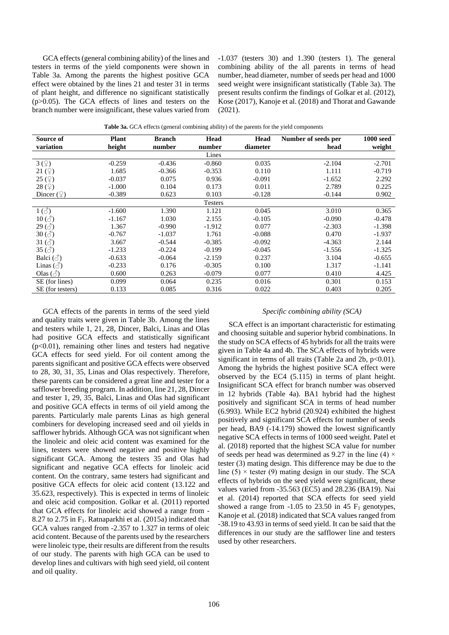GCA effects (general combining ability) of the lines and testers in terms of the yield components were shown in Table 3a. Among the parents the highest positive GCA effect were obtained by the lines 21 and tester 31 in terms of plant height, and difference no significant statistically  $(p>0.05)$ . The GCA effects of lines and testers on the branch number were insignificant, these values varied from

-1.037 (testers 30) and 1.390 (testers 1). The general combining ability of the all parents in terms of head number, head diameter, number of seeds per head and 1000 seed weight were insignificant statistically (Table 3a). The present results confirm the findings of Golkar et al. (2012), Kose (2017), Kanoje et al. (2018) and Thorat and Gawande (2021).

| Source of                                                                        | <b>Plant</b> | <b>Branch</b> | Head           | Head     | Number of seeds per | <b>1000 seed</b> |
|----------------------------------------------------------------------------------|--------------|---------------|----------------|----------|---------------------|------------------|
| variation                                                                        | height       | number        | number         | diameter | head                | weight           |
|                                                                                  |              |               | Lines          |          |                     |                  |
| 3(9)                                                                             | $-0.259$     | $-0.436$      | $-0.860$       | 0.035    | $-2.104$            | $-2.701$         |
| $21 \left( \n\begin{array}{c} 2 \end{array} \right)$                             | 1.685        | $-0.366$      | $-0.353$       | 0.110    | 1.111               | $-0.719$         |
| 25 $(\mathcal{Q})$                                                               | $-0.037$     | 0.075         | 0.936          | $-0.091$ | $-1.652$            | 2.292            |
| $28 \left( \frac{\circ}{2} \right)$                                              | $-1.000$     | 0.104         | 0.173          | 0.011    | 2.789               | 0.225            |
| Dincer $(\mathcal{Q})$                                                           | $-0.389$     | 0.623         | 0.103          | $-0.128$ | $-0.144$            | 0.902            |
|                                                                                  |              |               | <b>Testers</b> |          |                     |                  |
| $1\left(\stackrel{\scriptscriptstyle\wedge}{\scriptscriptstyle\odot}\right)$     | $-1.600$     | 1.390         | 1.121          | 0.045    | 3.010               | 0.365            |
| $10\left(\text{O}\right)$                                                        | $-1.167$     | 1.030         | 2.155          | $-0.105$ | $-0.090$            | $-0.478$         |
| 29(3)                                                                            | 1.367        | $-0.990$      | $-1.912$       | 0.077    | $-2.303$            | $-1.398$         |
| $30\left(\stackrel{\scriptstyle \nearrow}{\scriptstyle \circlearrowleft}\right)$ | $-0.767$     | $-1.037$      | 1.761          | $-0.088$ | 0.470               | $-1.937$         |
| 31 $\left(\stackrel{\rightarrow}{\circ}\right)$                                  | 3.667        | $-0.544$      | $-0.385$       | $-0.092$ | $-4.363$            | 2.144            |
| 35 $(3)$                                                                         | $-1.233$     | $-0.224$      | $-0.199$       | $-0.045$ | $-1.556$            | $-1.325$         |
| Balci $(\text{d})$                                                               | $-0.633$     | $-0.064$      | $-2.159$       | 0.237    | 3.104               | $-0.655$         |
| Linas $(\text{d})$                                                               | $-0.233$     | 0.176         | $-0.305$       | 0.100    | 1.317               | $-1.141$         |
| Olas $(\text{S})$                                                                | 0.600        | 0.263         | $-0.079$       | 0.077    | 0.410               | 4.425            |
| SE (for lines)                                                                   | 0.099        | 0.064         | 0.235          | 0.016    | 0.301               | 0.153            |
| SE (for testers)                                                                 | 0.133        | 0.085         | 0.316          | 0.022    | 0.403               | 0.205            |

**Table 3a.** GCA effects (general combining ability) of the parents for the yield components

GCA effects of the parents in terms of the seed yield and quality traits were given in Table 3b. Among the lines and testers while 1, 21, 28, Dincer, Balci, Linas and Olas had positive GCA effects and statistically significant (p<0.01), remaining other lines and testers had negative GCA effects for seed yield. For oil content among the parents significant and positive GCA effects were observed to 28, 30, 31, 35, Linas and Olas respectively. Therefore, these parents can be considered a great line and tester for a safflower breeding program. In addition, line 21, 28, Dincer and tester 1, 29, 35, Balci, Linas and Olas had significant and positive GCA effects in terms of oil yield among the parents. Particularly male parents Linas as high general combiners for developing increased seed and oil yields in safflower hybrids. Although GCA was not significant when the linoleic and oleic acid content was examined for the lines, testers were showed negative and positive highly significant GCA. Among the testers 35 and Olas had significant and negative GCA effects for linoleic acid content. On the contrary, same testers had significant and positive GCA effects for oleic acid content (13.122 and 35.623, respectively). This is expected in terms of linoleic and oleic acid composition. Golkar et al. (2011) reported that GCA effects for linoleic acid showed a range from - 8.27 to 2.75 in  $F_1$ . Ratnaparkhi et al. (2015a) indicated that GCA values ranged from -2.357 to 1.327 in terms of oleic acid content. Because of the parents used by the researchers were linoleic type, their results are different from the results of our study. The parents with high GCA can be used to develop lines and cultivars with high seed yield, oil content and oil quality.

#### *Specific combining ability (SCA)*

SCA effect is an important characteristic for estimating and choosing suitable and superior hybrid combinations. In the study on SCA effects of 45 hybrids for all the traits were given in Table 4a and 4b. The SCA effects of hybrids were significant in terms of all traits (Table 2a and 2b,  $p<0.01$ ). Among the hybrids the highest positive SCA effect were observed by the EC4 (5.115) in terms of plant height. Insignificant SCA effect for branch number was observed in 12 hybrids (Table 4a). BA1 hybrid had the highest positively and significant SCA in terms of head number (6.993). While EC2 hybrid (20.924) exhibited the highest positively and significant SCA effects for number of seeds per head, BA9 (-14.179) showed the lowest significantly negative SCA effects in terms of 1000 seed weight. Patel et al. (2018) reported that the highest SCA value for number of seeds per head was determined as 9.27 in the line (4)  $\times$ tester (3) mating design. This difference may be due to the line  $(5)$  × tester  $(9)$  mating design in our study. The SCA effects of hybrids on the seed yield were significant, these values varied from -35.563 (EC5) and 28.236 (BA19). Nai et al. (2014) reported that SCA effects for seed yield showed a range from  $-1.05$  to 23.50 in 45  $F_1$  genotypes, Kanoje et al. (2018) indicated that SCA values ranged from -38.19 to 43.93 in terms of seed yield. It can be said that the differences in our study are the safflower line and testers used by other researchers.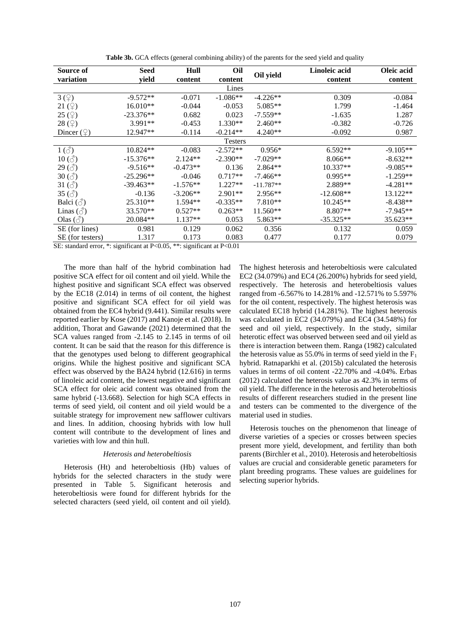| Source of<br>variation                            | Seed<br>vield | Hull<br>content | Oil<br>content | Oil yield   | Linoleic acid<br>content | Oleic acid<br>content |
|---------------------------------------------------|---------------|-----------------|----------------|-------------|--------------------------|-----------------------|
|                                                   |               |                 | Lines          |             |                          |                       |
| 3(9)                                              | $-9.572**$    | $-0.071$        | $-1.086**$     | $-4.226**$  | 0.309                    | $-0.084$              |
| 21(2)                                             | 16.010**      | $-0.044$        | $-0.053$       | $5.085**$   | 1.799                    | $-1.464$              |
| $25 \left( \frac{\circ}{2} \right)$               | $-23.376**$   | 0.682           | 0.023          | $-7.559**$  | $-1.635$                 | 1.287                 |
| 28(2)                                             | 3.991**       | $-0.453$        | $1.330**$      | $2.460**$   | $-0.382$                 | $-0.726$              |
| Dincer $(\varphi)$                                | 12.947**      | $-0.114$        | $-0.214**$     | $4.240**$   | $-0.092$                 | 0.987                 |
|                                                   |               |                 | <b>Testers</b> |             |                          |                       |
| $1\left(\stackrel{\sim}{\circlearrowleft}\right)$ | 10.824**      | $-0.083$        | $-2.572**$     | $0.956*$    | 6.592**                  | $-9.105**$            |
| $10\left(\text{O}\right)$                         | $-15.376**$   | $2.124**$       | $-2.390**$     | $-7.029**$  | $8.066**$                | $-8.632**$            |
| $29\left(\text{O}\right)$                         | $-9.516**$    | $-0.473**$      | 0.136          | 2.864**     | $10.337**$               | $-9.085**$            |
| $30\left(\text{O}\right)$                         | $-25.296**$   | $-0.046$        | $0.717**$      | $-7.466**$  | $0.995**$                | $-1.259**$            |
| 31 $\left(\stackrel{\rightarrow}{\circ}\right)$   | $-39.463**$   | $-1.576**$      | $1.227**$      | $-11.787**$ | 2.889**                  | $-4.281**$            |
| 35 $\left(\substack{3\\0}$ )                      | $-0.136$      | $-3.206**$      | $2.901**$      | 2.956**     | $-12.608**$              | 13.122**              |
| Balci $(\text{S})$                                | 25.310**      | $1.594**$       | $-0.335**$     | $7.810**$   | 10.245**                 | $-8.438**$            |
| Linas $(\text{S})$                                | 33.570**      | $0.527**$       | $0.263**$      | $11.560**$  | $8.807**$                | $-7.945**$            |
| Olas $(\text{S})$                                 | 20.084**      | $1.137**$       | 0.053          | 5.863**     | $-35.325**$              | 35.623**              |
| SE (for lines)                                    | 0.981         | 0.129           | 0.062          | 0.356       | 0.132                    | 0.059                 |
| SE (for testers)                                  | 1.317         | 0.173           | 0.083          | 0.477       | 0.177                    | 0.079                 |

**Table 3b.** GCA effects (general combining ability) of the parents for the seed yield and quality

SE: standard error, \*: significant at P<0.05, \*\*: significant at P<0.01

The more than half of the hybrid combination had positive SCA effect for oil content and oil yield. While the highest positive and significant SCA effect was observed by the EC18 (2.014) in terms of oil content, the highest positive and significant SCA effect for oil yield was obtained from the EC4 hybrid (9.441). Similar results were reported earlier by Kose (2017) and Kanoje et al. (2018). In addition, Thorat and Gawande (2021) determined that the SCA values ranged from -2.145 to 2.145 in terms of oil content. It can be said that the reason for this difference is that the genotypes used belong to different geographical origins. While the highest positive and significant SCA effect was observed by the BA24 hybrid (12.616) in terms of linoleic acid content, the lowest negative and significant SCA effect for oleic acid content was obtained from the same hybrid (-13.668). Selection for high SCA effects in terms of seed yield, oil content and oil yield would be a suitable strategy for improvement new safflower cultivars and lines. In addition, choosing hybrids with low hull content will contribute to the development of lines and varieties with low and thin hull.

#### *Heterosis and heterobeltiosis*

Heterosis (Ht) and heterobeltiosis (Hb) values of hybrids for the selected characters in the study were presented in Table 5. Significant heterosis and heterobeltiosis were found for different hybrids for the selected characters (seed yield, oil content and oil yield). The highest heterosis and heterobeltiosis were calculated EC2 (34.079%) and EC4 (26.200%) hybrids for seed yield, respectively. The heterosis and heterobeltiosis values ranged from -6.567% to 14.281% and -12.571% to 5.597% for the oil content, respectively. The highest heterosis was calculated EC18 hybrid (14.281%). The highest heterosis was calculated in EC2 (34.079%) and EC4 (34.548%) for seed and oil yield, respectively. In the study, similar heterotic effect was observed between seed and oil yield as there is interaction between them. Ranga (1982) calculated the heterosis value as  $55.0\%$  in terms of seed yield in the  $F_1$ hybrid. Ratnaparkhi et al. (2015b) calculated the heterosis values in terms of oil content -22.70% and -4.04%. Erbas (2012) calculated the heterosis value as 42.3% in terms of oil yield. The difference in the heterosis and heterobeltiosis results of different researchers studied in the present line and testers can be commented to the divergence of the material used in studies.

Heterosis touches on the phenomenon that lineage of diverse varieties of a species or crosses between species present more yield, development, and fertility than both parents (Birchler et al., 2010). Heterosis and heterobeltiosis values are crucial and considerable genetic parameters for plant breeding programs. These values are guidelines for selecting superior hybrids.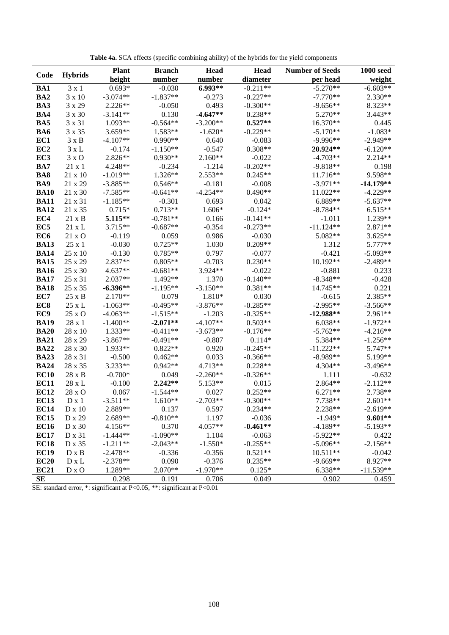|                 |                | <b>Plant</b> | <b>Branch</b> | Head       | <b>Head</b> | <b>Number of Seeds</b> | <b>1000 seed</b> |
|-----------------|----------------|--------------|---------------|------------|-------------|------------------------|------------------|
| Code            | <b>Hybrids</b> | height       | number        | number     | diameter    | per head               | weight           |
| BA1             | $3 \times 1$   | $0.693*$     | $-0.030$      | $6.993**$  | $-0.211**$  | $-5.270**$             | $-6.603**$       |
| BA <sub>2</sub> | $3 \times 10$  | $-3.074**$   | $-1.837**$    | $-0.273$   | $-0.227**$  | $-7.770**$             | $2.330**$        |
| BA3             | 3 x 29         | 2.226**      | $-0.050$      | 0.493      | $-0.300**$  | $-9.656**$             | 8.323**          |
| BA4             | 3 x 30         | $-3.141**$   | 0.130         | $-4.647**$ | $0.238**$   | 5.270**                | $3.443**$        |
| BA5             | 3 x 31         | $1.093**$    | $-0.564**$    | $-3.200**$ | $0.527**$   | 16.370**               | 0.445            |
| <b>BA6</b>      | 3 x 35         | 3.659**      | 1.583**       | $-1.620*$  | $-0.229**$  | $-5.170**$             | $-1.083*$        |
| EC1             | $3 \times B$   | $-4.107**$   | $0.990**$     | 0.640      | $-0.083$    | $-9.996**$             | $-2.949**$       |
| EC2             | $3 \times L$   | $-0.174$     | $-1.150**$    | $-0.547$   | $0.308**$   | 20.924**               | $-6.120**$       |
| EC <sub>3</sub> | $3 \times O$   | 2.826**      | $0.930**$     | $2.160**$  | $-0.022$    | $-4.703**$             | 2.214**          |
| BA7             | $21 \times 1$  | 4.248**      | $-0.234$      | $-1.214$   | $-0.202**$  | $-9.818**$             | 0.198            |
| BA8             | 21 x 10        | $-1.019**$   | 1.326**       | $2.553**$  | $0.245**$   | $11.716**$             | 9.598**          |
| BA9             | 21 x 29        | $-3.885**$   | $0.546**$     | $-0.181$   | $-0.008$    | $-3.971**$             | $-14.179**$      |
| <b>BA10</b>     | $21 \times 30$ | $-7.585**$   | $-0.641**$    | $-4.254**$ | $0.490**$   | 11.022**               | $-4.229**$       |
| <b>BA11</b>     | 21 x 31        | $-1.185**$   | $-0.301$      | 0.693      | 0.042       | 6.889**                | $-5.637**$       |
| <b>BA12</b>     | 21 x 35        | $0.715*$     | $0.713**$     | 1.606*     | $-0.124*$   | $-8.784**$             | $6.515**$        |
| EC4             | $21 \times B$  | $5.115**$    | $-0.781**$    | 0.166      | $-0.141**$  | $-1.011$               | 1.239**          |
| EC <sub>5</sub> | $21 \times L$  | $3.715**$    | $-0.687**$    | $-0.354$   | $-0.273**$  | $-11.124**$            | 2.871**          |
| EC <sub>6</sub> | $21 \times O$  | $-0.119$     | 0.059         | 0.986      | $-0.030$    | 5.082**                | $3.625**$        |
| <b>BA13</b>     | $25 \times 1$  | $-0.030$     | $0.725**$     | 1.030      | $0.209**$   | 1.312                  | 5.777**          |
| <b>BA14</b>     | 25 x 10        | $-0.130$     | $0.785**$     | 0.797      | $-0.077$    | $-0.421$               | $-5.093**$       |
| <b>BA15</b>     | 25 x 29        | 2.837**      | $0.805**$     | $-0.703$   | $0.230**$   | 10.192**               | $-2.489**$       |
| <b>BA16</b>     | 25 x 30        | $4.637**$    | $-0.681**$    | 3.924**    | $-0.022$    | $-0.881$               | 0.233            |
| <b>BA17</b>     | 25 x 31        | $2.037**$    | 1.492**       | 1.370      | $-0.140**$  | $-8.348**$             | $-0.428$         |
| <b>BA18</b>     | 25 x 35        | $-6.396**$   | $-1.195**$    | $-3.150**$ | $0.381**$   | 14.745**               | 0.221            |
| EC7             | $25 \times B$  | $2.170**$    | 0.079         | 1.810*     | 0.030       | $-0.615$               | 2.385**          |
| EC <sub>8</sub> | $25 \times L$  | $-1.063**$   | $-0.495**$    | $-3.876**$ | $-0.285**$  | $-2.995**$             | $-3.566**$       |
| EC9             | 25 x O         | $-4.063**$   | $-1.515**$    | $-1.203$   | $-0.325**$  | $-12.988**$            | 2.961**          |
| <b>BA19</b>     | 28 x 1         | $-1.400**$   | $-2.071**$    | $-4.107**$ | $0.503**$   | $6.038**$              | $-1.972**$       |
| <b>BA20</b>     | 28 x 10        | $1.333**$    | $-0.411**$    | $-3.673**$ | $-0.176**$  | $-5.762**$             | $-4.216**$       |
| <b>BA21</b>     | 28 x 29        | $-3.867**$   | $-0.491**$    | $-0.807$   | $0.114*$    | 5.384**                | $-1.256**$       |
| <b>BA22</b>     | 28 x 30        | $1.933**$    | $0.822**$     | 0.920      | $-0.245**$  | $-11.222**$            | 5.747**          |
| <b>BA23</b>     | 28 x 31        | $-0.500$     | $0.462**$     | 0.033      | $-0.366**$  | $-8.989**$             | 5.199**          |
| <b>BA24</b>     | 28 x 35        | 3.233**      | $0.942**$     | 4.713**    | $0.228**$   | 4.304**                | $-3.496**$       |
| <b>EC10</b>     | $28 \times B$  | $-0.700*$    | 0.049         | $-2.260**$ | $-0.326**$  | 1.111                  | $-0.632$         |
| <b>EC11</b>     | $28$ x $\rm L$ | $-0.100$     | $2.242**$     | $5.153**$  | 0.015       | 2.864**                | $-2.112**$       |
| <b>EC12</b>     | 28 x O         | 0.067        | $-1.544**$    | 0.027      | $0.252**$   | $6.271**$              | 2.738**          |
| <b>EC13</b>     | $D \times 1$   | $-3.511**$   | $1.610**$     | $-2.703**$ | $-0.300**$  | 7.738**                | $2.601**$        |
| <b>EC14</b>     | $D \times 10$  | 2.889**      | 0.137         | 0.597      | $0.234**$   | 2.238**                | $-2.619**$       |
| <b>EC15</b>     | D x 29         | 2.689**      | $-0.810**$    | 1.197      | $-0.036$    | $-1.949*$              | $9.601**$        |
| <b>EC16</b>     | D x 30         | 4.156**      | 0.370         | 4.057**    | $-0.461**$  | $-4.189**$             | $-5.193**$       |
| <b>EC17</b>     | D x 31         | $-1.444**$   | $-1.090**$    | 1.104      | $-0.063$    | $-5.922**$             | 0.422            |
| <b>EC18</b>     | D x 35         | $-1.211**$   | $-2.043**$    | $-1.550*$  | $-0.255**$  | $-5.096**$             | $-2.156**$       |
| <b>EC19</b>     | $D \times B$   | $-2.478**$   | $-0.336$      | $-0.356$   | $0.521**$   | $10.511**$             | $-0.042$         |
| EC20            | $D \times L$   | $-2.378**$   | 0.090         | $-0.376$   | $0.235**$   | $-9.669**$             | 8.927**          |
| <b>EC21</b>     | $D \times O$   | 1.289**      | 2.070**       | $-1.970**$ | $0.125*$    | 6.338**                | $-11.539**$      |
| <b>SE</b>       |                | 0.298        | 0.191         | 0.706      | 0.049       | 0.902                  | 0.459            |

**Table 4a.** SCA effects (specific combining ability) of the hybrids for the yield components

SE: standard error, \*: significant at P<0.05, \*\*: significant at P<0.01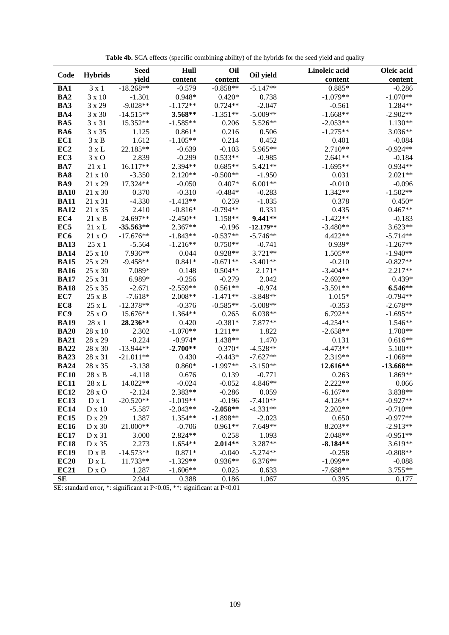| Code            |                | Hull<br>Seed |            | Oil        |             | Linoleic acid | Oleic acid  |
|-----------------|----------------|--------------|------------|------------|-------------|---------------|-------------|
|                 | <b>Hybrids</b> | yield        | content    | content    | Oil yield   | content       | content     |
| BA1             | $3 \times 1$   | $-18.268**$  | $-0.579$   | $-0.858**$ | $-5.147**$  | $0.885*$      | $-0.286$    |
| BA <sub>2</sub> | 3 x 10         | $-1.301$     | $0.948*$   | $0.420*$   | 0.738       | $-1.079**$    | $-1.070**$  |
| BA3             | 3 x 29         | $-9.028**$   | $-1.172**$ | $0.724**$  | $-2.047$    | $-0.561$      | $1.284**$   |
| BA4             | 3 x 30         | $-14.515**$  | 3.568**    | $-1.351**$ | $-5.009**$  | $-1.668**$    | $-2.902**$  |
| BA5             | 3 x 31         | 15.352**     | $-1.585**$ | 0.206      | 5.526**     | $-2.053**$    | $1.130**$   |
| BA6             | 3 x 35         | 1.125        | $0.861*$   | 0.216      | 0.506       | $-1.275**$    | 3.036**     |
| EC1             | $3 \times B$   | 1.612        | $-1.105**$ | 0.214      | 0.452       | 0.401         | $-0.084$    |
| EC <sub>2</sub> | $3 \times L$   | 22.185**     | $-0.639$   | $-0.103$   | 5.965**     | 2.710**       | $-0.924**$  |
| EC <sub>3</sub> | $3 \times O$   | 2.839        | $-0.299$   | $0.533**$  | $-0.985$    | $2.641**$     | $-0.184$    |
| BA7             | $21 \times 1$  | 16.117**     | 2.394**    | $0.685**$  | $5.421**$   | $-1.695**$    | $0.934**$   |
| BA8             | 21 x 10        | $-3.350$     | $2.120**$  | $-0.500**$ | $-1.950$    | 0.031         | $2.021**$   |
| BA9             | 21 x 29        | 17.324**     | $-0.050$   | $0.407*$   | $6.001**$   | $-0.010$      | $-0.096$    |
| <b>BA10</b>     | 21 x 30        | 0.370        | $-0.310$   | $-0.484*$  | $-0.283$    | 1.342**       | $-1.502**$  |
| <b>BA11</b>     | 21 x 31        | $-4.330$     | $-1.413**$ | 0.259      | $-1.035$    | 0.378         | $0.450*$    |
| <b>BA12</b>     | 21 x 35        | 2.410        | $-0.816*$  | $-0.794**$ | 0.331       | 0.435         | $0.467**$   |
| EC4             | $21 \times B$  | 24.697**     | $-2.450**$ | 1.158**    | $9.441**$   | $-1.422**$    | $-0.183$    |
| EC <sub>5</sub> | $21 \times L$  | $-35.563**$  | 2.367**    | $-0.196$   | $-12.179**$ | $-3.480**$    | $3.623**$   |
| EC <sub>6</sub> | 21 x O         | $-17.676**$  | $-1.843**$ | $-0.537**$ | $-5.746**$  | 4.422**       | $-5.714**$  |
| <b>BA13</b>     | $25 \times 1$  | $-5.564$     | $-1.216**$ | $0.750**$  | $-0.741$    | 0.939*        | $-1.267**$  |
| <b>BA14</b>     | $25 \times 10$ | 7.936**      | 0.044      | $0.928**$  | $3.721**$   | 1.505**       | $-1.940**$  |
| <b>BA15</b>     | 25 x 29        | $-9.458**$   | $0.841*$   | $-0.671**$ | $-3.401**$  | $-0.210$      | $-0.827**$  |
| <b>BA16</b>     | 25 x 30        | 7.089*       | 0.148      | $0.504**$  | $2.171*$    | $-3.404**$    | $2.217**$   |
| <b>BA17</b>     | 25 x 31        | 6.989*       | $-0.256$   | $-0.279$   | 2.042       | $-2.692**$    | $0.439*$    |
| <b>BA18</b>     | 25 x 35        | $-2.671$     | $-2.559**$ | $0.561**$  | $-0.974$    | $-3.591**$    | 6.546**     |
| EC7             | $25 \times B$  | $-7.618*$    | 2.008**    | $-1.471**$ | $-3.848**$  | $1.015*$      | $-0.794**$  |
| EC <sub>8</sub> | $25 \times L$  | $-12.378**$  | $-0.376$   | $-0.585**$ | $-5.008**$  | $-0.353$      | $-2.678**$  |
| EC9             | $25 \times O$  | 15.676**     | $1.364**$  | 0.265      | $6.038**$   | 6.792**       | $-1.695**$  |
| <b>BA19</b>     | 28 x 1         | 28.236**     | 0.420      | $-0.381*$  | 7.877**     | $-4.254**$    | $1.546**$   |
| <b>BA20</b>     | 28 x 10        | 2.302        | $-1.070**$ | 1.211**    | 1.822       | $-2.658**$    | 1.700**     |
| <b>BA21</b>     | 28 x 29        | $-0.224$     | $-0.974*$  | 1.438**    | 1.470       | 0.131         | $0.616**$   |
| <b>BA22</b>     | 28 x 30        | $-13.944**$  | $-2.700**$ | $0.370*$   | $-4.528**$  | $-4.473**$    | 5.100**     |
| <b>BA23</b>     | 28 x 31        | $-21.011**$  | 0.430      | $-0.443*$  | $-7.627**$  | 2.319**       | $-1.068**$  |
| <b>BA24</b>     | 28 x 35        | $-3.138$     | $0.860*$   | $-1.997**$ | $-3.150**$  | 12.616**      | $-13.668**$ |
| <b>EC10</b>     | $28 \times B$  | $-4.118$     | 0.676      | 0.139      | $-0.771$    | 0.263         | 1.869**     |
| <b>EC11</b>     | 28 x L         | 14.022**     | $-0.024$   | $-0.052$   | 4.846**     | 2.222**       | 0.066       |
| <b>EC12</b>     | 28 x O         | $-2.124$     | $2.383**$  | $-0.286$   | 0.059       | $-6.167**$    | 3.838**     |
| <b>EC13</b>     | $D \times 1$   | $-20.520**$  | $-1.019**$ | $-0.196$   | $-7.410**$  | 4.126**       | $-0.927**$  |
| <b>EC14</b>     | $D \times 10$  | $-5.587$     | $-2.043**$ | $-2.058**$ | $-4.331**$  | 2.202**       | $-0.710**$  |
| <b>EC15</b>     | D x 29         | 1.387        | 1.354**    | $-1.898**$ | $-2.023$    | 0.650         | $-0.977**$  |
| <b>EC16</b>     | D x 30         | 21.000**     | $-0.706$   | $0.961**$  | 7.649**     | 8.203**       | $-2.913**$  |
| <b>EC17</b>     | D x 31         | 3.000        | 2.824 **   | 0.258      | 1.093       | 2.048**       | $-0.951**$  |
| <b>EC18</b>     | D x 35         | 2.273        | $1.654**$  | $2.014**$  | 3.287**     | $-8.184**$    | $3.619**$   |
| <b>EC19</b>     | $D \times B$   | $-14.573**$  | $0.871*$   | $-0.040$   | $-5.274**$  | $-0.258$      | $-0.808**$  |
| EC20            | $D \times L$   | 11.733**     | $-1.329**$ | $0.936**$  | 6.376**     | $-1.099**$    | $-0.088$    |
| <b>EC21</b>     | D x O          | 1.287        | $-1.606**$ | 0.025      | 0.633       | $-7.688**$    | $3.755**$   |
| SE              |                | 2.944        | 0.388      | 0.186      | 1.067       | 0.395         | 0.177       |

**Table 4b.** SCA effects (specific combining ability) of the hybrids for the seed yield and quality

SE: standard error, \*: significant at P<0.05, \*\*: significant at P<0.01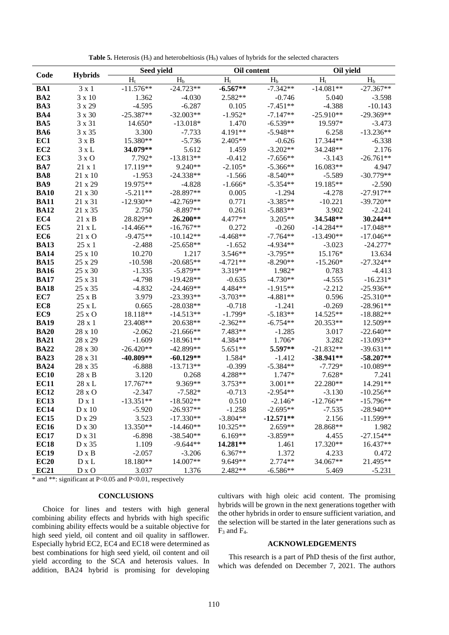|                            |                    | Seed yield              |                            | Oil content        |                   | Oil yield            |                            |
|----------------------------|--------------------|-------------------------|----------------------------|--------------------|-------------------|----------------------|----------------------------|
| Code                       | <b>Hybrids</b>     | $H_t$                   | $H_b$                      | $H_t$              | $H_b$             | $H_t$                | H <sub>b</sub>             |
| <b>BA1</b>                 | $3 \times 1$       | $-11.576**$             | $-24.723**$                | $-6.567**$         | $-7.342**$        | $-14.081**$          | $-27.367**$                |
| BA <sub>2</sub>            | $3 \times 10$      | 1.362                   | $-4.030$                   | 2.582**            | $-0.746$          | 5.040                | $-3.598$                   |
| BA3                        | 3 x 29             | $-4.595$                | $-6.287$                   | 0.105              | $-7.451**$        | $-4.388$             | $-10.143$                  |
| BA4                        | 3 x 30             | $-25.387**$             | $-32.003**$                | $-1.952*$          | $-7.147**$        | $-25.910**$          | $-29.369**$                |
| BA5                        | 3 x 31             | $14.650*$               | $-13.018*$                 | 1.470              | $-6.539**$        | 19.597*              | $-3.473$                   |
| BA6                        | 3 x 35             | 3.300                   | $-7.733$                   | 4.191**            | $-5.948**$        | 6.258                | $-13.236**$                |
| EC1                        | $3 \times B$       | 15.380**                | $-5.736$                   | 2.405**            | $-0.626$          | 17.344**             | $-6.338$                   |
| EC <sub>2</sub>            | $3 \times L$       | 34.079**                | 5.612                      | 1.459              | $-3.202**$        | 34.248**             | 2.176                      |
| EC <sub>3</sub>            | $3 \times O$       | 7.792*                  | $-13.813**$                | $-0.412$           | $-7.656**$        | $-3.143$             | $-26.761**$                |
| BA7                        | $21 \times 1$      | 17.119**                | $9.240**$                  | $-2.105*$          | $-5.366**$        | 16.083**             | 4.947                      |
| BA <sub>8</sub>            | $21 \times 10$     | $-1.953$                | $-24.338**$                | $-1.566$           | $-8.540**$        | $-5.589$             | $-30.779**$                |
| BA9                        | 21 x 29            | 19.975**                | $-4.828$                   | $-1.666*$          | $-5.354**$        | 19.185**             | $-2.590$                   |
| <b>BA10</b>                | $21 \times 30$     | $-5.211**$              | $-28.897**$                | 0.005              | $-1.294$          | $-4.278$             | $-27.917**$                |
| <b>BA11</b>                | 21 x 31            | $-12.930**$             | $-42.769**$                | 0.771              | $-3.385**$        | $-10.221$            | $-39.720**$                |
| <b>BA12</b>                | $21 \times 35$     | 2.750                   | $-8.897**$                 | 0.261              | $-5.883**$        | 3.902                | $-2.241$                   |
| EC4                        | $21 \times B$      | 28.829**                | 26.200**                   | 4.477**            | $3.205**$         | 34.548**             | 30.244**                   |
| EC <sub>5</sub>            | $21 \times L$      | $-14.466**$             | $-16.767**$                | 0.272              | $-0.260$          | $-14.284**$          | $-17.048**$                |
| EC <sub>6</sub>            | $21 \times O$      | $-9.475**$              | $-10.142**$                | $-4.468**$         | $-7.764**$        | $-13.490**$          | $-17.046**$                |
| <b>BA13</b>                | $25 \times 1$      | $-2.488$                | $-25.658**$                | $-1.652$           | $-4.934**$        | $-3.023$             | $-24.277*$                 |
| <b>BA14</b>                | $25 \times 10$     | 10.270                  | 1.217                      | 3.546**            | $-3.795**$        | 15.176*              | 13.634                     |
| <b>BA15</b>                | $25 \times 29$     | $-10.598$               | $-20.685**$                | $-4.721**$         | $-8.290**$        | $-15.260*$           | $-27.324**$                |
| <b>BA16</b>                | $25 \times 30$     | $-1.335$                | $-5.879**$                 | 3.319**            | 1.982*            | 0.783                | $-4.413$                   |
| <b>BA17</b>                | 25 x 31            | $-4.798$                | $-19.428**$                | $-0.635$           | $-4.730**$        | $-4.555$             | $-16.231*$                 |
| <b>BA18</b>                | 25 x 35            | $-4.832$                | $-24.469**$                | 4.484**            | $-1.915**$        | $-2.212$             | $-25.936**$                |
| EC7                        | $25 \times B$      | 3.979                   | $-23.393**$                | $-3.703**$         | $-4.881**$        | 0.596                | $-25.310**$                |
| EC <sub>8</sub>            | $25 \times L$      | 0.665                   | $-28.038**$                | $-0.718$           | $-1.241$          | $-0.269$             | $-28.961**$                |
| EC9                        | $25 \times \Omega$ | 18.118**                | $-14.513**$                | $-1.799*$          | $-5.183**$        | 14.525**             | $-18.882**$                |
| <b>BA19</b>                | $28 \times 1$      | 23.408**                | 20.638**                   | $-2.362**$         | $-6.754**$        | 20.353**             | 12.509**<br>$-22.640**$    |
| <b>BA20</b>                | $28 \times 10$     | $-2.062$                | $-21.666**$                | 7.483**            | $-1.285$          | 3.017                |                            |
| <b>BA21</b><br><b>BA22</b> | 28 x 29<br>28 x 30 | $-1.609$<br>$-26.420**$ | $-18.961**$<br>$-42.899**$ | 4.384**<br>5.651** | 1.706*<br>5.597** | 3.282<br>$-21.832**$ | $-13.093**$<br>$-39.631**$ |
| <b>BA23</b>                | $28 \times 31$     | $-40.809**$             | $-60.129**$                | 1.584*             | $-1.412$          | $-38.941**$          | $-58.207**$                |
| <b>BA24</b>                | 28 x 35            | $-6.888$                | $-13.713**$                | $-0.399$           | $-5.384**$        | $-7.729*$            | $-10.089**$                |
| <b>EC10</b>                | $28 \times B$      | 3.120                   | 0.268                      | 4.288**            | 1.747*            | $7.628*$             | 7.241                      |
| <b>EC11</b>                | 28 x L             | 17.767**                | 9.369**                    | $3.753**$          | $3.001**$         | 22.280**             | 14.291**                   |
| <b>EC12</b>                | 28 x O             | $-2.347$                | $-7.582*$                  | $-0.713$           | $-2.954**$        | $-3.130$             | $-10.256**$                |
| <b>EC13</b>                | $D \times 1$       | $-13.351**$             | $-18.502**$                | 0.510              | $-2.146*$         | $-12.766**$          | $-15.796**$                |
| <b>EC14</b>                | $D \times 10$      | $-5.920$                | $-26.937**$                | $-1.258$           | $-2.695**$        | $-7.535$             | $-28.940**$                |
| <b>EC15</b>                | D x 29             | 3.523                   | $-17.330**$                | $-3.804**$         | $-12.571**$       | 2.156                | $-11.599**$                |
| <b>EC16</b>                | D x 30             | 13.350**                | $-14.460**$                | 10.325**           | $2.659**$         | 28.868**             | 1.982                      |
| <b>EC17</b>                | D x 31             | $-6.898$                | $-38.540**$                | $6.169**$          | $-3.859**$        | 4.455                | $-27.154**$                |
| <b>EC18</b>                | D x 35             | 1.109                   | $-9.644**$                 | 14.281**           | 1.461             | 17.320**             | 16.437**                   |
| <b>EC19</b>                | $D \times B$       | $-2.057$                | $-3.206$                   | $6.367**$          | 1.372             | 4.233                | 0.472                      |
| <b>EC20</b>                | $D \times L$       | 18.180**                | 14.007**                   | 9.649**            | 2.774**           | 34.067**             | 21.495**                   |
| <b>EC21</b>                | $D \times O$       | 3.037                   | 1.376                      | 2.482**            | $-6.586**$        | 5.469                | $-5.231$                   |

Table 5. Heterosis (H<sub>t</sub>) and heterobeltiosis (H<sub>b</sub>) values of hybrids for the selected characters

\* and \*\*: significant at P<0.05 and P<0.01, respectively

## **CONCLUSIONS**

Choice for lines and testers with high general combining ability effects and hybrids with high specific combining ability effects would be a suitable objective for high seed yield, oil content and oil quality in safflower. Especially hybrid EC2, EC4 and EC18 were determined as best combinations for high seed yield, oil content and oil yield according to the SCA and heterosis values. In addition, BA24 hybrid is promising for developing cultivars with high oleic acid content. The promising hybrids will be grown in the next generations together with the other hybrids in order to ensure sufficient variation, and the selection will be started in the later generations such as  $F_3$  and  $F_4$ .

# **ACKNOWLEDGEMENTS**

This research is a part of PhD thesis of the first author, which was defended on December 7, 2021. The authors